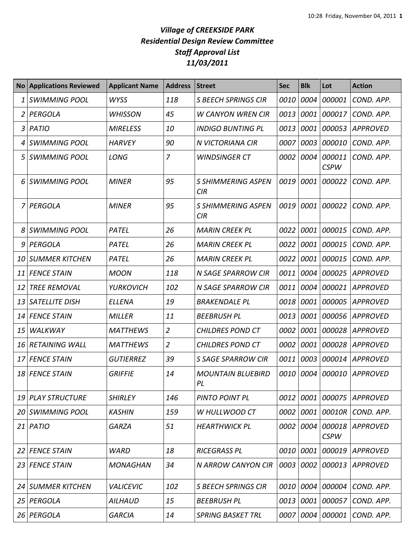## *Village of CREEKSIDE PARK Residential Design Review Committee Staff Approval List 11/03/2011*

| No <sub>1</sub> | <b>Applications Reviewed</b> | <b>Applicant Name</b> | <b>Address</b> | <b>Street</b>                    | <b>Sec</b> | <b>Blk</b> | Lot                   | <b>Action</b>   |
|-----------------|------------------------------|-----------------------|----------------|----------------------------------|------------|------------|-----------------------|-----------------|
| 1               | <b>SWIMMING POOL</b>         | <b>WYSS</b>           | 118            | <b>S BEECH SPRINGS CIR</b>       | 0010       | 0004       | 000001                | COND. APP.      |
| 2               | PERGOLA                      | <b>WHISSON</b>        | 45             | <b>W CANYON WREN CIR</b>         | 0013       | 0001       | 000017                | COND. APP.      |
| 3               | <b>PATIO</b>                 | <b>MIRELESS</b>       | 10             | <b>INDIGO BUNTING PL</b>         | 0013       | 0001       | 000053                | <b>APPROVED</b> |
| 4               | <b>SWIMMING POOL</b>         | <b>HARVEY</b>         | 90             | N VICTORIANA CIR                 | 0007       | 0003       | 000010                | COND. APP.      |
| 5               | <b>SWIMMING POOL</b>         | LONG                  | $\overline{7}$ | <b>WINDSINGER CT</b>             | 0002       | 0004       | 000011<br><b>CSPW</b> | COND. APP.      |
| 6               | SWIMMING POOL                | <b>MINER</b>          | 95             | <b>S SHIMMERING ASPEN</b><br>CIR | 0019       | 0001       | 000022                | COND. APP.      |
|                 | 7 PERGOLA                    | <b>MINER</b>          | 95             | <b>S SHIMMERING ASPEN</b><br>CIR | 0019       | 0001       | 000022                | COND. APP.      |
| 8               | <b>SWIMMING POOL</b>         | PATEL                 | 26             | <b>MARIN CREEK PL</b>            | 0022       | 0001       | 000015                | COND. APP.      |
| 9               | PERGOLA                      | PATEL                 | 26             | <b>MARIN CREEK PL</b>            | 0022       | 0001       | 000015                | COND. APP.      |
| 10              | <b>SUMMER KITCHEN</b>        | PATEL                 | 26             | <b>MARIN CREEK PL</b>            | 0022       | 0001       | 000015                | COND. APP.      |
| 11              | <b>FENCE STAIN</b>           | <b>MOON</b>           | 118            | N SAGE SPARROW CIR               | 0011       | 0004       | 000025                | <b>APPROVED</b> |
| 12              | <b>TREE REMOVAL</b>          | <b>YURKOVICH</b>      | 102            | N SAGE SPARROW CIR               | 0011       | 0004       | 000021                | APPROVED        |
| 13              | <b>SATELLITE DISH</b>        | <b>ELLENA</b>         | 19             | <b>BRAKENDALE PL</b>             | 0018       | 0001       | 000005                | <b>APPROVED</b> |
| 14              | <b>FENCE STAIN</b>           | <b>MILLER</b>         | 11             | <b>BEEBRUSH PL</b>               | 0013       | 0001       | 000056                | APPROVED        |
| 15              | <b>WALKWAY</b>               | <b>MATTHEWS</b>       | $\overline{2}$ | <b>CHILDRES POND CT</b>          | 0002       | 0001       | 000028                | APPROVED        |
| 16              | <b>RETAINING WALL</b>        | <b>MATTHEWS</b>       | $\overline{2}$ | <b>CHILDRES POND CT</b>          | 0002       | 0001       | 000028                | APPROVED        |
| 17              | <b>FENCE STAIN</b>           | <b>GUTIERREZ</b>      | 39             | S SAGE SPARROW CIR               | 0011       | 0003       | 000014                | <b>APPROVED</b> |
| 18              | <b>FENCE STAIN</b>           | <b>GRIFFIE</b>        | 14             | <b>MOUNTAIN BLUEBIRD</b><br>PL   | 0010       | 0004       | 000010                | <b>APPROVED</b> |
|                 | 19 PLAY STRUCTURE            | <b>SHIRLEY</b>        | 146            | PINTO POINT PL                   | 0012       | 0001       | 000075                | <b>APPROVED</b> |
|                 | 20 SWIMMING POOL             | <b>KASHIN</b>         | 159            | W HULLWOOD CT                    | 0002       | 0001       | 00010R                | COND. APP.      |
|                 | $21$   PATIO                 | <b>GARZA</b>          | 51             | <b>HEARTHWICK PL</b>             | 0002       | 0004       | 000018<br><b>CSPW</b> | APPROVED        |
| 22              | <b>FENCE STAIN</b>           | <b>WARD</b>           | 18             | <b>RICEGRASS PL</b>              | 0010       | 0001       | 000019                | APPROVED        |
|                 | 23 FENCE STAIN               | <b>MONAGHAN</b>       | 34             | <b>N ARROW CANYON CIR</b>        | 0003       | 0002       | 000013                | <b>APPROVED</b> |
| 24              | <b>SUMMER KITCHEN</b>        | <b>VALICEVIC</b>      | 102            | <b>S BEECH SPRINGS CIR</b>       | 0010       | 0004       | 000004                | COND. APP.      |
| 25              | PERGOLA                      | <b>AILHAUD</b>        | 15             | <b>BEEBRUSH PL</b>               | 0013       | 0001       | 000057                | COND. APP.      |
| 26              | PERGOLA                      | <b>GARCIA</b>         | 14             | <b>SPRING BASKET TRL</b>         | 0007       | 0004       | 000001                | COND. APP.      |